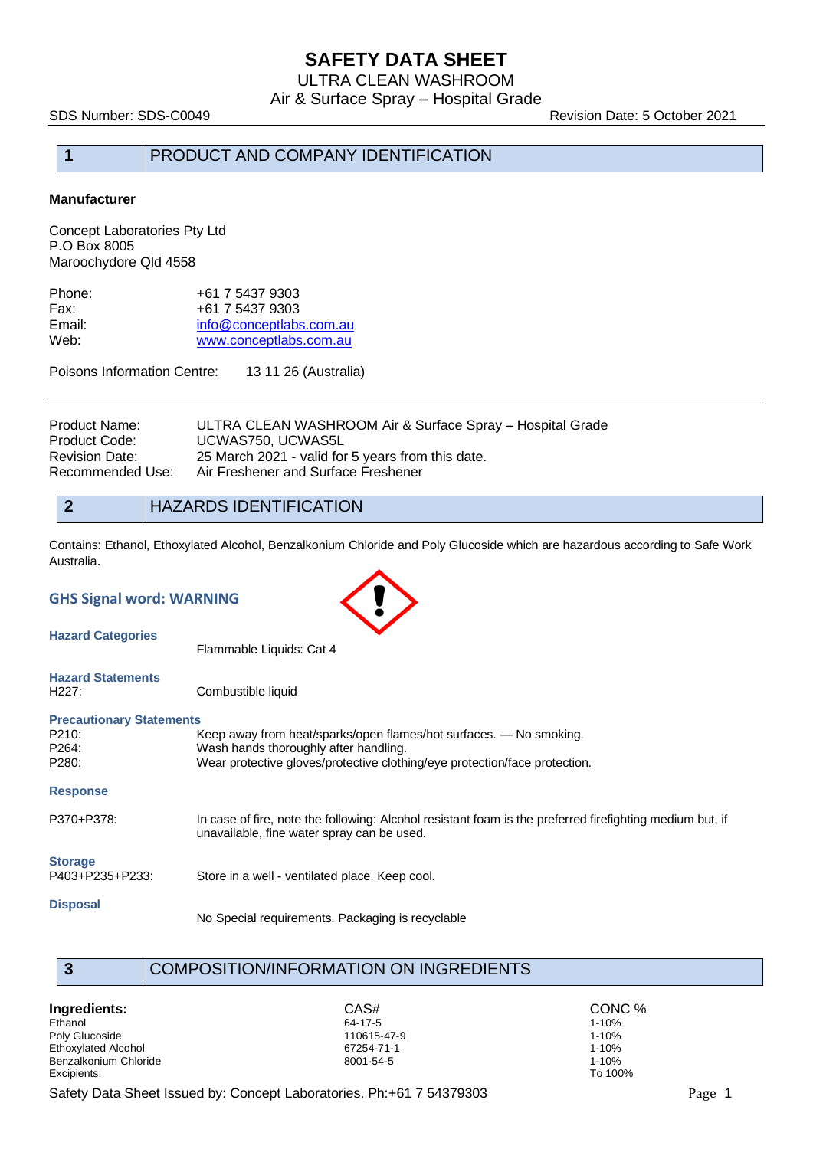ULTRA CLEAN WASHROOM Air & Surface Spray – Hospital Grade

SDS Number: SDS-C0049 Revision Date: 5 October 2021

## **1** PRODUCT AND COMPANY IDENTIFICATION

#### **Manufacturer**

Concept Laboratories Pty Ltd P.O Box 8005 Maroochydore Qld 4558

| +61 7 5437 9303         |
|-------------------------|
| +61 7 5437 9303         |
| info@conceptlabs.com.au |
| www.conceptlabs.com.au  |
|                         |

Poisons Information Centre: 13 11 26 (Australia)

| Product Name:    | ULTRA CLEAN WASHROOM Air & Surface Spray – Hospital Grade |
|------------------|-----------------------------------------------------------|
| Product Code:    | UCWAS750. UCWAS5L                                         |
| Revision Date:   | 25 March 2021 - valid for 5 years from this date.         |
| Recommended Use: | Air Freshener and Surface Freshener                       |
|                  |                                                           |

**2** HAZARDS IDENTIFICATION

Contains: Ethanol, Ethoxylated Alcohol, Benzalkonium Chloride and Poly Glucoside which are hazardous according to Safe Work Australia.

| <b>GHS Signal word: WARNING</b>                            |                                                                                                                                                                                           |  |  |
|------------------------------------------------------------|-------------------------------------------------------------------------------------------------------------------------------------------------------------------------------------------|--|--|
| <b>Hazard Categories</b>                                   | Flammable Liquids: Cat 4                                                                                                                                                                  |  |  |
| <b>Hazard Statements</b><br>H <sub>227</sub> :             | Combustible liquid                                                                                                                                                                        |  |  |
| <b>Precautionary Statements</b><br>P210:<br>P264:<br>P280: | Keep away from heat/sparks/open flames/hot surfaces. - No smoking.<br>Wash hands thoroughly after handling.<br>Wear protective gloves/protective clothing/eye protection/face protection. |  |  |
| <b>Response</b>                                            |                                                                                                                                                                                           |  |  |
| P370+P378:                                                 | In case of fire, note the following: Alcohol resistant foam is the preferred firefighting medium but, if<br>unavailable, fine water spray can be used.                                    |  |  |
| <b>Storage</b><br>P403+P235+P233:                          | Store in a well - ventilated place. Keep cool.                                                                                                                                            |  |  |
| <b>Disposal</b>                                            | No Special requirements. Packaging is recyclable                                                                                                                                          |  |  |

### **3** COMPOSITION/INFORMATION ON INGREDIENTS

**Ingredients:** CAS# CONC % CASH CONC % Concerns to the contract of the concernsity of the concernsity of the concernsity of the concernsity of the concernsity of the concernsity of the concernsity of the concernsity of the Ethanol 64-17-5 1-10% Poly Glucoside 110615-47-9 1-10% Ethoxylated Alcohol 67254-71-1 1-10% Benzalkonium Chloride 8001-54-5 1-10% Excipients: To 100%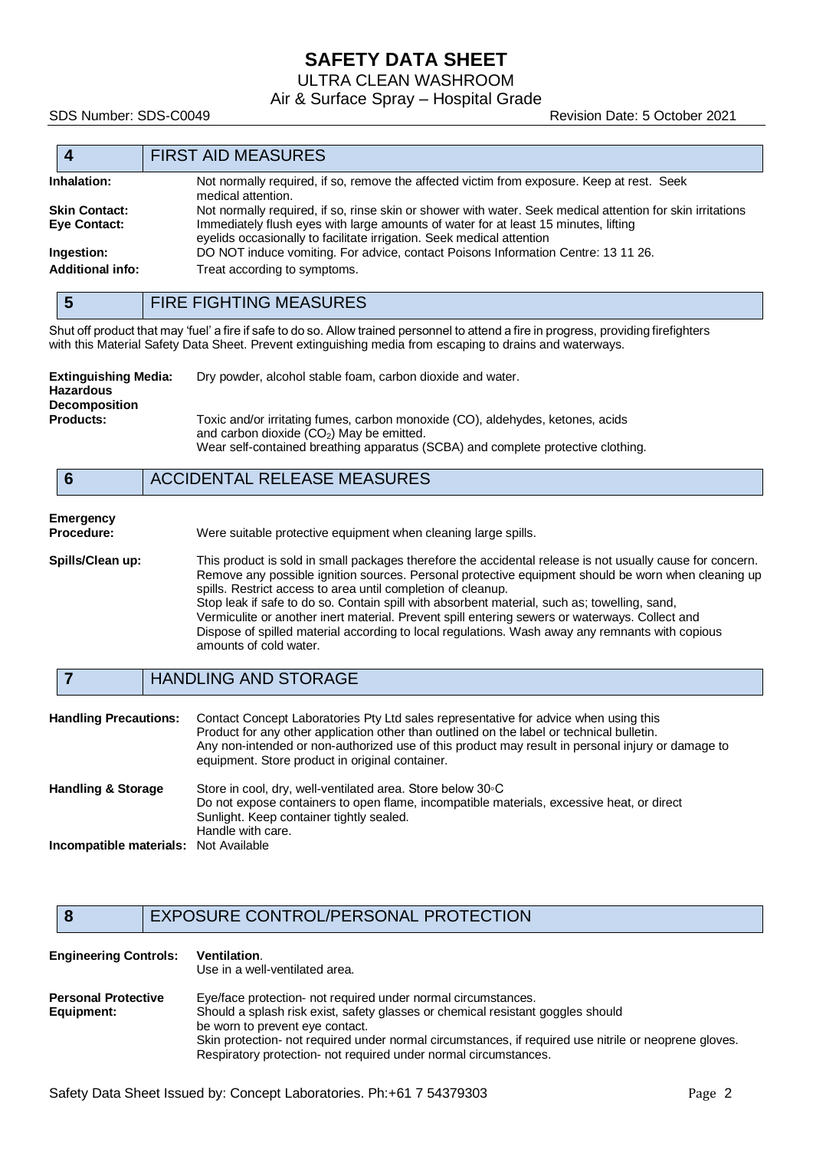ULTRA CLEAN WASHROOM

Air & Surface Spray – Hospital Grade

SDS Number: SDS-C0049 Revision Date: 5 October 2021

|                         | <b>FIRST AID MEASURES</b>                                                                                                                                    |  |
|-------------------------|--------------------------------------------------------------------------------------------------------------------------------------------------------------|--|
| Inhalation:             | Not normally required, if so, remove the affected victim from exposure. Keep at rest. Seek<br>medical attention.                                             |  |
| <b>Skin Contact:</b>    | Not normally required, if so, rinse skin or shower with water. Seek medical attention for skin irritations                                                   |  |
| Eye Contact:            | Immediately flush eyes with large amounts of water for at least 15 minutes, lifting<br>eyelids occasionally to facilitate irrigation. Seek medical attention |  |
| Ingestion:              | DO NOT induce vomiting. For advice, contact Poisons Information Centre: 13 11 26.                                                                            |  |
| <b>Additional info:</b> | Treat according to symptoms.                                                                                                                                 |  |

|  | <b>FIRE FIGHTING MEASURES</b> |
|--|-------------------------------|
|--|-------------------------------|

Shut off product that may 'fuel' a fire if safe to do so. Allow trained personnel to attend a fire in progress, providing firefighters with this Material Safety Data Sheet. Prevent extinguishing media from escaping to drains and waterways.

| Extinguishing Media:<br><b>Hazardous</b><br><b>Decomposition</b><br><b>Products:</b> |  | Dry powder, alcohol stable foam, carbon dioxide and water.                                                                                                                                                       |
|--------------------------------------------------------------------------------------|--|------------------------------------------------------------------------------------------------------------------------------------------------------------------------------------------------------------------|
|                                                                                      |  | Toxic and/or irritating fumes, carbon monoxide (CO), aldehydes, ketones, acids<br>and carbon dioxide $(CO2)$ May be emitted.<br>Wear self-contained breathing apparatus (SCBA) and complete protective clothing. |
|                                                                                      |  | <b>ACCIDENTAL RELEASE MEASURES</b>                                                                                                                                                                               |

# **Emergency**

Were suitable protective equipment when cleaning large spills.

**Spills/Clean up:** This product is sold in small packages therefore the accidental release is not usually cause for concern. Remove any possible ignition sources. Personal protective equipment should be worn when cleaning up spills. Restrict access to area until completion of cleanup. Stop leak if safe to do so. Contain spill with absorbent material, such as; towelling, sand, Vermiculite or another inert material. Prevent spill entering sewers or waterways. Collect and Dispose of spilled material according to local regulations. Wash away any remnants with copious amounts of cold water.

#### **7** HANDLING AND STORAGE

| <b>Handling Precautions:</b>                 | Contact Concept Laboratories Pty Ltd sales representative for advice when using this<br>Product for any other application other than outlined on the label or technical bulletin.<br>Any non-intended or non-authorized use of this product may result in personal injury or damage to<br>equipment. Store product in original container. |
|----------------------------------------------|-------------------------------------------------------------------------------------------------------------------------------------------------------------------------------------------------------------------------------------------------------------------------------------------------------------------------------------------|
| <b>Handling &amp; Storage</b>                | Store in cool, dry, well-ventilated area. Store below 30 °C<br>Do not expose containers to open flame, incompatible materials, excessive heat, or direct<br>Sunlight. Keep container tightly sealed.<br>Handle with care.                                                                                                                 |
| <b>Incompatible materials:</b> Not Available |                                                                                                                                                                                                                                                                                                                                           |

#### **8** EXPOSURE CONTROL/PERSONAL PROTECTION

| <b>Engineering Controls:</b>             | <b>Ventilation.</b><br>Use in a well-ventilated area.                                                                                                                                                                                                                                                                                                            |
|------------------------------------------|------------------------------------------------------------------------------------------------------------------------------------------------------------------------------------------------------------------------------------------------------------------------------------------------------------------------------------------------------------------|
| <b>Personal Protective</b><br>Equipment: | Eye/face protection- not required under normal circumstances.<br>Should a splash risk exist, safety glasses or chemical resistant goggles should<br>be worn to prevent eye contact.<br>Skin protection- not required under normal circumstances, if required use nitrile or neoprene gloves.<br>Respiratory protection- not required under normal circumstances. |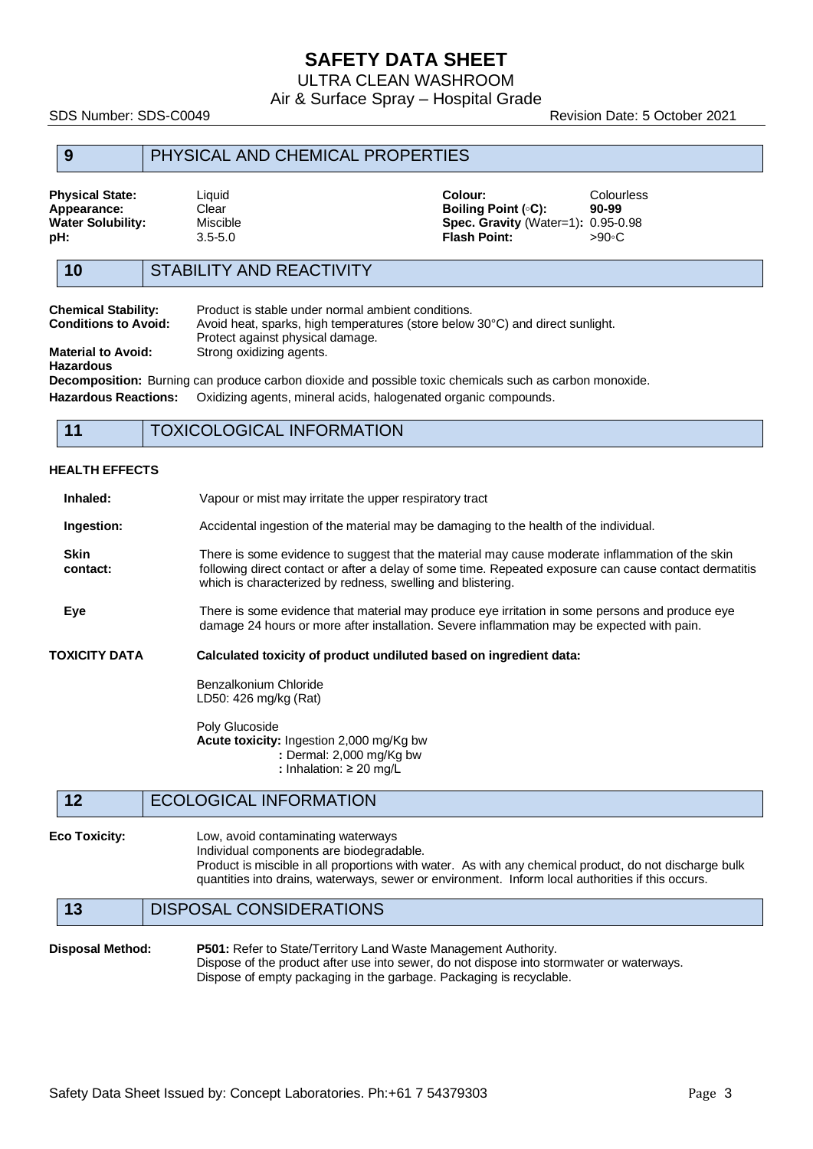ULTRA CLEAN WASHROOM

Air & Surface Spray – Hospital Grade

SDS Number: SDS-C0049 Revision Date: 5 October 2021

#### **9** PHYSICAL AND CHEMICAL PROPERTIES

| <b>Physical State:</b><br>Appearance:<br>Water Solubility:<br>pН: | Liauid<br>Clear<br>Miscible<br>$3.5 - 5.0$ | Colour:<br>Boiling Point $(\circ \mathsf{C})$ :<br><b>Spec. Gravity (Water=1): 0.95-0.98</b><br><b>Flash Point:</b> | <b>Colourless</b><br>90-99<br>>90∘C |
|-------------------------------------------------------------------|--------------------------------------------|---------------------------------------------------------------------------------------------------------------------|-------------------------------------|
|                                                                   |                                            |                                                                                                                     |                                     |

### **10** STABILITY AND REACTIVITY

| <b>Chemical Stability:</b>             | Product is stable under normal ambient conditions.                                                             |
|----------------------------------------|----------------------------------------------------------------------------------------------------------------|
| <b>Conditions to Avoid:</b>            | Avoid heat, sparks, high temperatures (store below 30°C) and direct sunlight.                                  |
|                                        | Protect against physical damage.                                                                               |
| <b>Material to Avoid:</b><br>Hazardous | Strong oxidizing agents.                                                                                       |
|                                        | <b>Decomposition:</b> Burning can produce carbon dioxide and possible toxic chemicals such as carbon monoxide. |

**Hazardous Reactions:** Oxidizing agents, mineral acids, halogenated organic compounds.

### **11** TOXICOLOGICAL INFORMATION

#### **HEALTH EFFECTS**

| Inhaled:                | Vapour or mist may irritate the upper respiratory tract                                                                                                                                                                                                                  |  |
|-------------------------|--------------------------------------------------------------------------------------------------------------------------------------------------------------------------------------------------------------------------------------------------------------------------|--|
| Ingestion:              | Accidental ingestion of the material may be damaging to the health of the individual.                                                                                                                                                                                    |  |
| <b>Skin</b><br>contact: | There is some evidence to suggest that the material may cause moderate inflammation of the skin<br>following direct contact or after a delay of some time. Repeated exposure can cause contact dermatitis<br>which is characterized by redness, swelling and blistering. |  |
| Eye                     | There is some evidence that material may produce eye irritation in some persons and produce eye<br>damage 24 hours or more after installation. Severe inflammation may be expected with pain.                                                                            |  |
| TOXICITY DATA           | Calculated toxicity of product undiluted based on ingredient data:                                                                                                                                                                                                       |  |
|                         | Benzalkonium Chloride<br>LD50: 426 mg/kg (Rat)                                                                                                                                                                                                                           |  |
|                         | Poly Glucoside<br>Acute toxicity: Ingestion 2,000 mg/Kg bw<br>: Dermal: 2,000 mg/Kg bw<br>: Inhalation: $\geq 20$ mg/L                                                                                                                                                   |  |
| 12                      | <b>ECOLOGICAL INFORMATION</b>                                                                                                                                                                                                                                            |  |
| <b>Eco Toxicity:</b>    | Low, avoid contaminating waterways<br>aldehemaboid are zhanomon leubivibal                                                                                                                                                                                               |  |

Individual components are biodegradable. Product is miscible in all proportions with water. As with any chemical product, do not discharge bulk quantities into drains, waterways, sewer or environment. Inform local authorities if this occurs.

#### **13** DISPOSAL CONSIDERATIONS

#### **Disposal Method: P501:** Refer to State/Territory Land Waste Management Authority. Dispose of the product after use into sewer, do not dispose into stormwater or waterways. Dispose of empty packaging in the garbage. Packaging is recyclable.